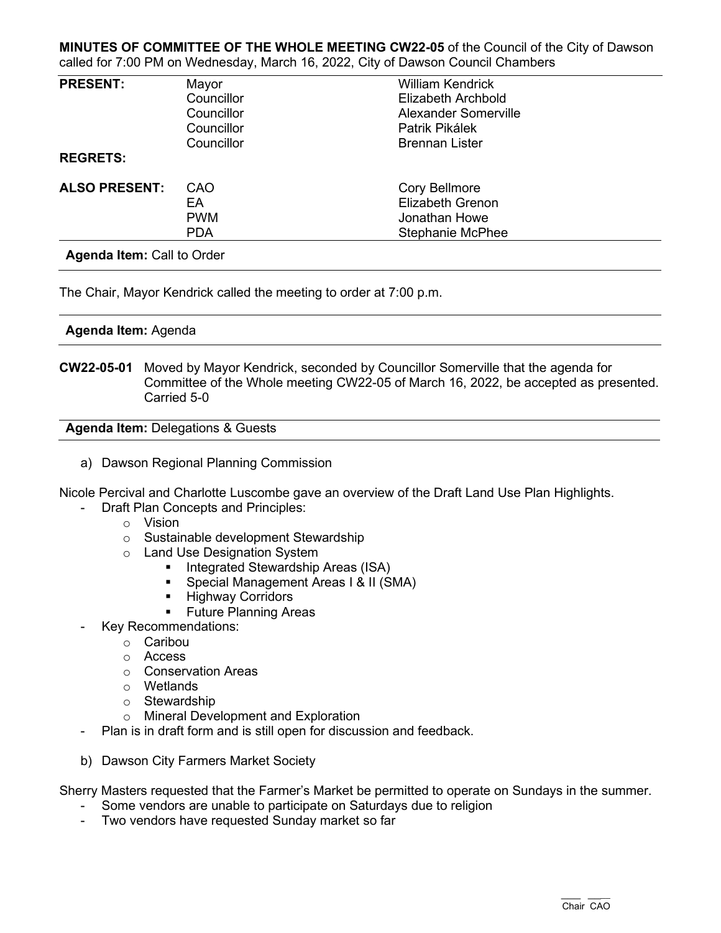## **MINUTES OF COMMITTEE OF THE WHOLE MEETING CW22-05** of the Council of the City of Dawson called for 7:00 PM on Wednesday, March 16, 2022, City of Dawson Council Chambers

| <b>PRESENT:</b>                           | Mayor      | <b>William Kendrick</b>   |  |
|-------------------------------------------|------------|---------------------------|--|
|                                           | Councillor | <b>Elizabeth Archbold</b> |  |
|                                           | Councillor | Alexander Somerville      |  |
|                                           | Councillor | Patrik Pikálek            |  |
|                                           | Councillor | <b>Brennan Lister</b>     |  |
| <b>REGRETS:</b>                           |            |                           |  |
| <b>ALSO PRESENT:</b>                      | CAO        | <b>Cory Bellmore</b>      |  |
|                                           | EA         | <b>Elizabeth Grenon</b>   |  |
|                                           | <b>PWM</b> | Jonathan Howe             |  |
|                                           | <b>PDA</b> | <b>Stephanie McPhee</b>   |  |
| $\sim$ $\sim$ $\sim$ $\sim$ $\sim$ $\sim$ |            |                           |  |

**Agenda Item:** Call to Order

The Chair, Mayor Kendrick called the meeting to order at 7:00 p.m.

# **Agenda Item:** Agenda

**CW22-05-01** Moved by Mayor Kendrick, seconded by Councillor Somerville that the agenda for Committee of the Whole meeting CW22-05 of March 16, 2022, be accepted as presented. Carried 5-0

**Agenda Item:** Delegations & Guests

a) Dawson Regional Planning Commission

Nicole Percival and Charlotte Luscombe gave an overview of the Draft Land Use Plan Highlights.

- Draft Plan Concepts and Principles:
	- o Vision
	- o Sustainable development Stewardship
	- o Land Use Designation System
		- **Integrated Stewardship Areas (ISA)**
		- **Special Management Areas I & II (SMA)**
		- **Highway Corridors**
		- **Future Planning Areas**
- Key Recommendations:
	- o Caribou
	- o Access
	- o Conservation Areas
	- o Wetlands
	- o Stewardship
	- o Mineral Development and Exploration
	- Plan is in draft form and is still open for discussion and feedback.
- b) Dawson City Farmers Market Society

Sherry Masters requested that the Farmer's Market be permitted to operate on Sundays in the summer.

- Some vendors are unable to participate on Saturdays due to religion
- Two vendors have requested Sunday market so far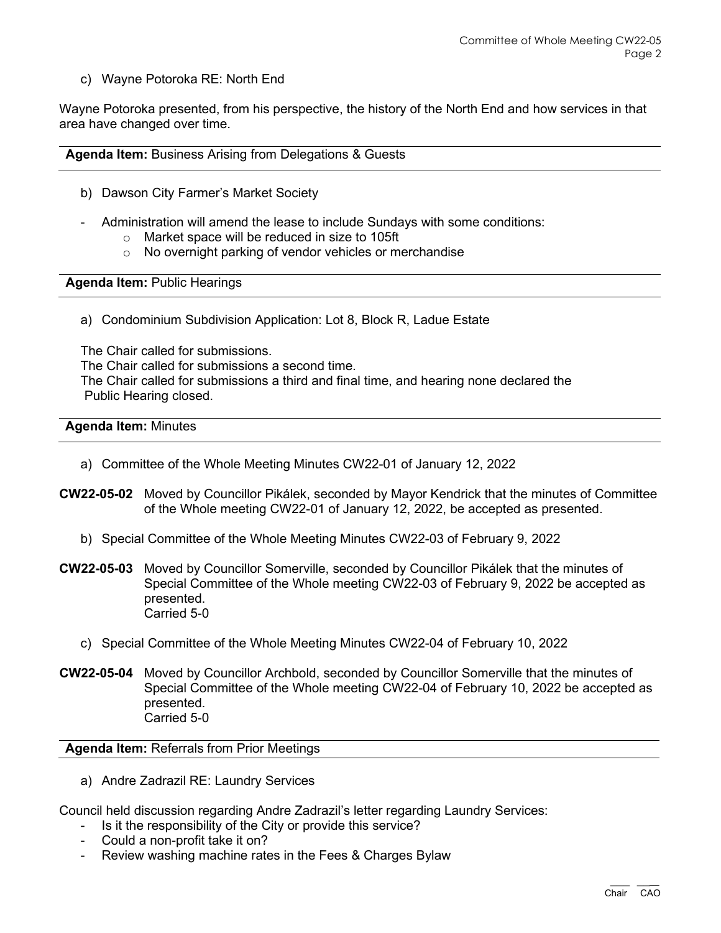c) Wayne Potoroka RE: North End

Wayne Potoroka presented, from his perspective, the history of the North End and how services in that area have changed over time.

**Agenda Item:** Business Arising from Delegations & Guests

- b) Dawson City Farmer's Market Society
- Administration will amend the lease to include Sundays with some conditions:
	- o Market space will be reduced in size to 105ft
	- o No overnight parking of vendor vehicles or merchandise

**Agenda Item:** Public Hearings

a) Condominium Subdivision Application: Lot 8, Block R, Ladue Estate

The Chair called for submissions. The Chair called for submissions a second time. The Chair called for submissions a third and final time, and hearing none declared the Public Hearing closed.

#### **Agenda Item:** Minutes

- a) Committee of the Whole Meeting Minutes CW22-01 of January 12, 2022
- **CW22-05-02** Moved by Councillor Pikálek, seconded by Mayor Kendrick that the minutes of Committee of the Whole meeting CW22-01 of January 12, 2022, be accepted as presented.
	- b) Special Committee of the Whole Meeting Minutes CW22-03 of February 9, 2022
- **CW22-05-03** Moved by Councillor Somerville, seconded by Councillor Pikálek that the minutes of Special Committee of the Whole meeting CW22-03 of February 9, 2022 be accepted as presented. Carried 5-0
	- c) Special Committee of the Whole Meeting Minutes CW22-04 of February 10, 2022
- **CW22-05-04** Moved by Councillor Archbold, seconded by Councillor Somerville that the minutes of Special Committee of the Whole meeting CW22-04 of February 10, 2022 be accepted as presented. Carried 5-0

**Agenda Item:** Referrals from Prior Meetings

a) Andre Zadrazil RE: Laundry Services

Council held discussion regarding Andre Zadrazil's letter regarding Laundry Services:

- Is it the responsibility of the City or provide this service?
- Could a non-profit take it on?
- Review washing machine rates in the Fees & Charges Bylaw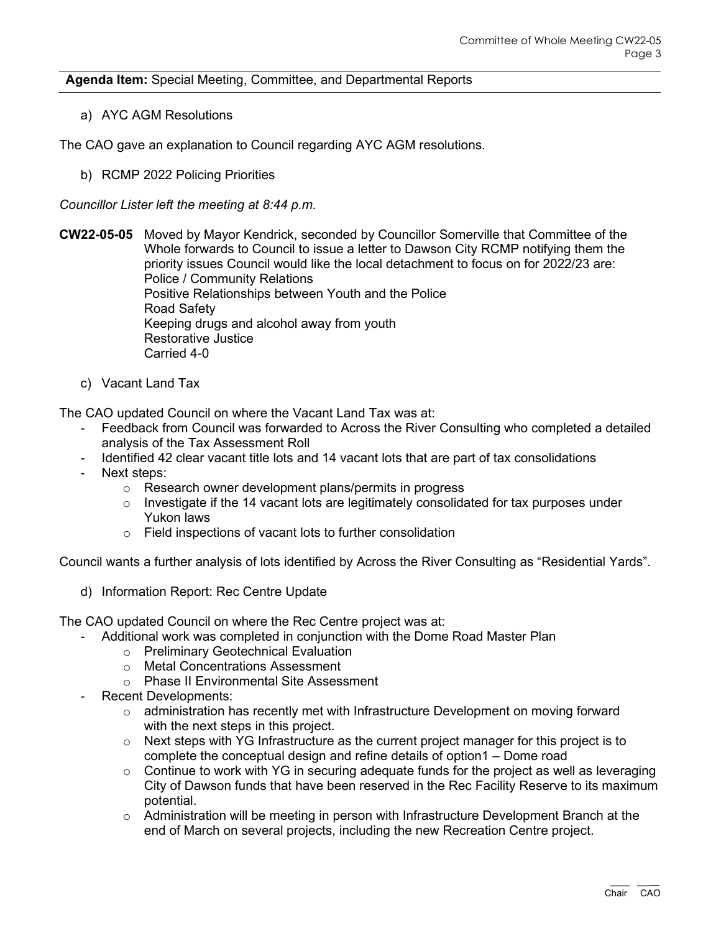# **Agenda Item:** Special Meeting, Committee, and Departmental Reports

a) AYC AGM Resolutions

The CAO gave an explanation to Council regarding AYC AGM resolutions.

b) RCMP 2022 Policing Priorities

*Councillor Lister left the meeting at 8:44 p.m.*

**CW22-05-05** Moved by Mayor Kendrick, seconded by Councillor Somerville that Committee of the Whole forwards to Council to issue a letter to Dawson City RCMP notifying them the priority issues Council would like the local detachment to focus on for 2022/23 are: Police / Community Relations Positive Relationships between Youth and the Police Road Safety Keeping drugs and alcohol away from youth Restorative Justice Carried 4-0

c) Vacant Land Tax

The CAO updated Council on where the Vacant Land Tax was at:

- Feedback from Council was forwarded to Across the River Consulting who completed a detailed analysis of the Tax Assessment Roll
- Identified 42 clear vacant title lots and 14 vacant lots that are part of tax consolidations
- Next steps:
	- o Research owner development plans/permits in progress
	- $\circ$  Investigate if the 14 vacant lots are legitimately consolidated for tax purposes under Yukon laws
	- o Field inspections of vacant lots to further consolidation

Council wants a further analysis of lots identified by Across the River Consulting as "Residential Yards".

d) Information Report: Rec Centre Update

The CAO updated Council on where the Rec Centre project was at:

- Additional work was completed in conjunction with the Dome Road Master Plan
	- o Preliminary Geotechnical Evaluation
	- o Metal Concentrations Assessment
	- o Phase II Environmental Site Assessment
- Recent Developments:
	- $\circ$  administration has recently met with Infrastructure Development on moving forward with the next steps in this project.
	- $\circ$  Next steps with YG Infrastructure as the current project manager for this project is to complete the conceptual design and refine details of option1 – Dome road
	- $\circ$  Continue to work with YG in securing adequate funds for the project as well as leveraging City of Dawson funds that have been reserved in the Rec Facility Reserve to its maximum potential.
	- o Administration will be meeting in person with Infrastructure Development Branch at the end of March on several projects, including the new Recreation Centre project.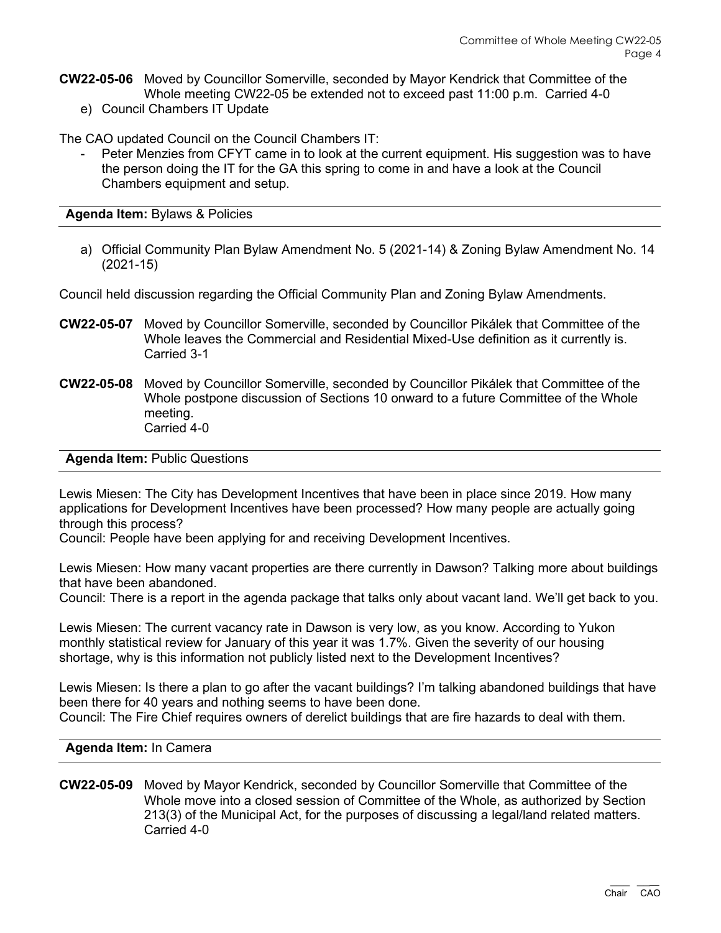- **CW22-05-06** Moved by Councillor Somerville, seconded by Mayor Kendrick that Committee of the Whole meeting CW22-05 be extended not to exceed past 11:00 p.m. Carried 4-0
	- e) Council Chambers IT Update

The CAO updated Council on the Council Chambers IT:

Peter Menzies from CFYT came in to look at the current equipment. His suggestion was to have the person doing the IT for the GA this spring to come in and have a look at the Council Chambers equipment and setup.

**Agenda Item:** Bylaws & Policies

a) Official Community Plan Bylaw Amendment No. 5 (2021-14) & Zoning Bylaw Amendment No. 14 (2021-15)

Council held discussion regarding the Official Community Plan and Zoning Bylaw Amendments.

- **CW22-05-07** Moved by Councillor Somerville, seconded by Councillor Pikálek that Committee of the Whole leaves the Commercial and Residential Mixed-Use definition as it currently is. Carried 3-1
- **CW22-05-08** Moved by Councillor Somerville, seconded by Councillor Pikálek that Committee of the Whole postpone discussion of Sections 10 onward to a future Committee of the Whole meeting. Carried 4-0

### **Agenda Item:** Public Questions

Lewis Miesen: The City has Development Incentives that have been in place since 2019. How many applications for Development Incentives have been processed? How many people are actually going through this process?

Council: People have been applying for and receiving Development Incentives.

Lewis Miesen: How many vacant properties are there currently in Dawson? Talking more about buildings that have been abandoned.

Council: There is a report in the agenda package that talks only about vacant land. We'll get back to you.

Lewis Miesen: The current vacancy rate in Dawson is very low, as you know. According to Yukon monthly statistical review for January of this year it was 1.7%. Given the severity of our housing shortage, why is this information not publicly listed next to the Development Incentives?

Lewis Miesen: Is there a plan to go after the vacant buildings? I'm talking abandoned buildings that have been there for 40 years and nothing seems to have been done. Council: The Fire Chief requires owners of derelict buildings that are fire hazards to deal with them.

#### **Agenda Item:** In Camera

## **CW22-05-09** Moved by Mayor Kendrick, seconded by Councillor Somerville that Committee of the Whole move into a closed session of Committee of the Whole, as authorized by Section 213(3) of the Municipal Act, for the purposes of discussing a legal/land related matters. Carried 4-0